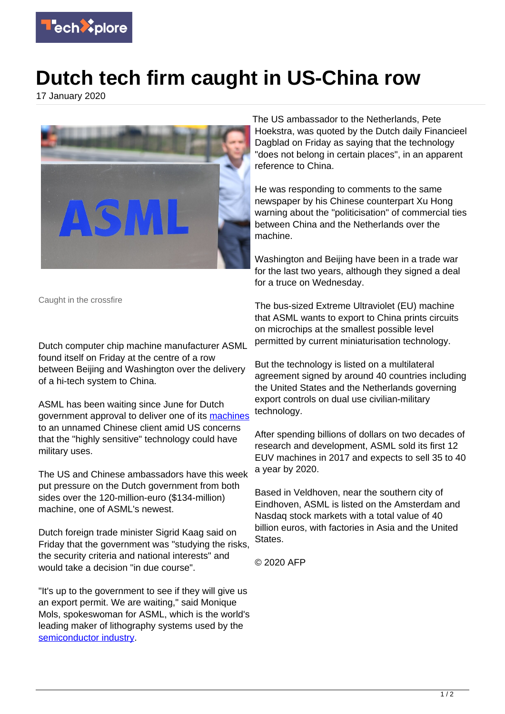

## **Dutch tech firm caught in US-China row**

17 January 2020



Caught in the crossfire

Dutch computer chip machine manufacturer ASML found itself on Friday at the centre of a row between Beijing and Washington over the delivery of a hi-tech system to China.

ASML has been waiting since June for Dutch government approval to deliver one of its [machines](https://techxplore.com/tags/machines/) to an unnamed Chinese client amid US concerns that the "highly sensitive" technology could have military uses.

The US and Chinese ambassadors have this week put pressure on the Dutch government from both sides over the 120-million-euro (\$134-million) machine, one of ASML's newest.

Dutch foreign trade minister Sigrid Kaag said on Friday that the government was "studying the risks, the security criteria and national interests" and would take a decision "in due course".

"It's up to the government to see if they will give us an export permit. We are waiting," said Monique Mols, spokeswoman for ASML, which is the world's leading maker of lithography systems used by the [semiconductor industry](https://techxplore.com/tags/semiconductor+industry/).

The US ambassador to the Netherlands, Pete Hoekstra, was quoted by the Dutch daily Financieel Dagblad on Friday as saying that the technology "does not belong in certain places", in an apparent reference to China.

He was responding to comments to the same newspaper by his Chinese counterpart Xu Hong warning about the "politicisation" of commercial ties between China and the Netherlands over the machine.

Washington and Beijing have been in a trade war for the last two years, although they signed a deal for a truce on Wednesday.

The bus-sized Extreme Ultraviolet (EU) machine that ASML wants to export to China prints circuits on microchips at the smallest possible level permitted by current miniaturisation technology.

But the technology is listed on a multilateral agreement signed by around 40 countries including the United States and the Netherlands governing export controls on dual use civilian-military technology.

After spending billions of dollars on two decades of research and development, ASML sold its first 12 EUV machines in 2017 and expects to sell 35 to 40 a year by 2020.

Based in Veldhoven, near the southern city of Eindhoven, ASML is listed on the Amsterdam and Nasdaq stock markets with a total value of 40 billion euros, with factories in Asia and the United **States**.

© 2020 AFP